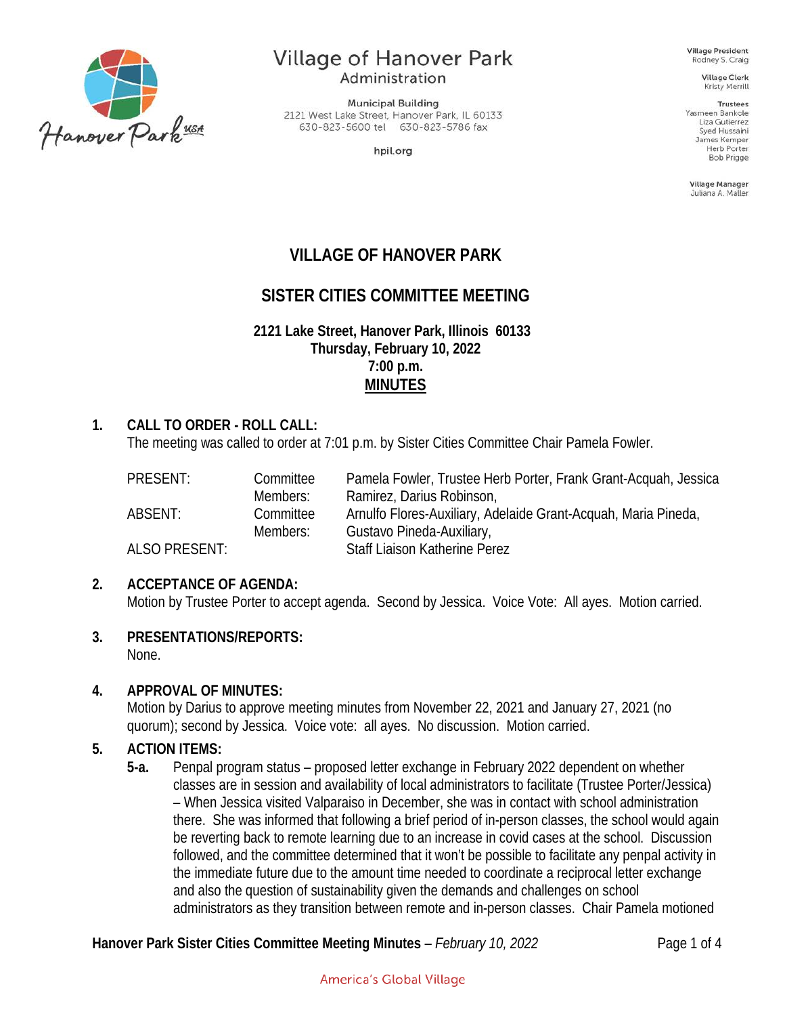

# **Village of Hanover Park**

Administration

**Municipal Building** 2121 West Lake Street, Hanover Park, IL 60133 630-823-5600 tel 630-823-5786 fax

hpil.org

**Village President** Rodney S. Craig

**Village Clerk** Kristy Merrill

**Trustees** Yasmeen Bankole Liza Gutierrez Syed Hussaini James Kemper **Herb Porter** Bob Prigge

Village Manager Juliana A. Maller

# **VILLAGE OF HANOVER PARK**

# **SISTER CITIES COMMITTEE MEETING**

**2121 Lake Street, Hanover Park, Illinois 60133 Thursday, February 10, 2022 7:00 p.m. MINUTES**

#### **1. CALL TO ORDER - ROLL CALL:**

The meeting was called to order at 7:01 p.m. by Sister Cities Committee Chair Pamela Fowler.

| PRESENT:      | Committee | Pamela Fowler, Trustee Herb Porter, Frank Grant-Acquah, Jessica |
|---------------|-----------|-----------------------------------------------------------------|
|               | Members:  | Ramirez, Darius Robinson,                                       |
| ABSENT:       | Committee | Arnulfo Flores-Auxiliary, Adelaide Grant-Acquah, Maria Pineda,  |
|               | Members:  | Gustavo Pineda-Auxiliary,                                       |
| ALSO PRESENT: |           | Staff Liaison Katherine Perez                                   |

#### **2. ACCEPTANCE OF AGENDA:**

Motion by Trustee Porter to accept agenda. Second by Jessica. Voice Vote: All ayes. Motion carried.

**3. PRESENTATIONS/REPORTS:**

None.

#### **4. APPROVAL OF MINUTES:**

Motion by Darius to approve meeting minutes from November 22, 2021 and January 27, 2021 (no quorum); second by Jessica. Voice vote: all ayes. No discussion. Motion carried.

#### **5. ACTION ITEMS:**

**5-a.** Penpal program status – proposed letter exchange in February 2022 dependent on whether classes are in session and availability of local administrators to facilitate (Trustee Porter/Jessica) – When Jessica visited Valparaiso in December, she was in contact with school administration there. She was informed that following a brief period of in-person classes, the school would again be reverting back to remote learning due to an increase in covid cases at the school. Discussion followed, and the committee determined that it won't be possible to facilitate any penpal activity in the immediate future due to the amount time needed to coordinate a reciprocal letter exchange and also the question of sustainability given the demands and challenges on school administrators as they transition between remote and in-person classes. Chair Pamela motioned

**Hanover Park Sister Cities Committee Meeting Minutes** – *February 10, 2022* Page 1 of 4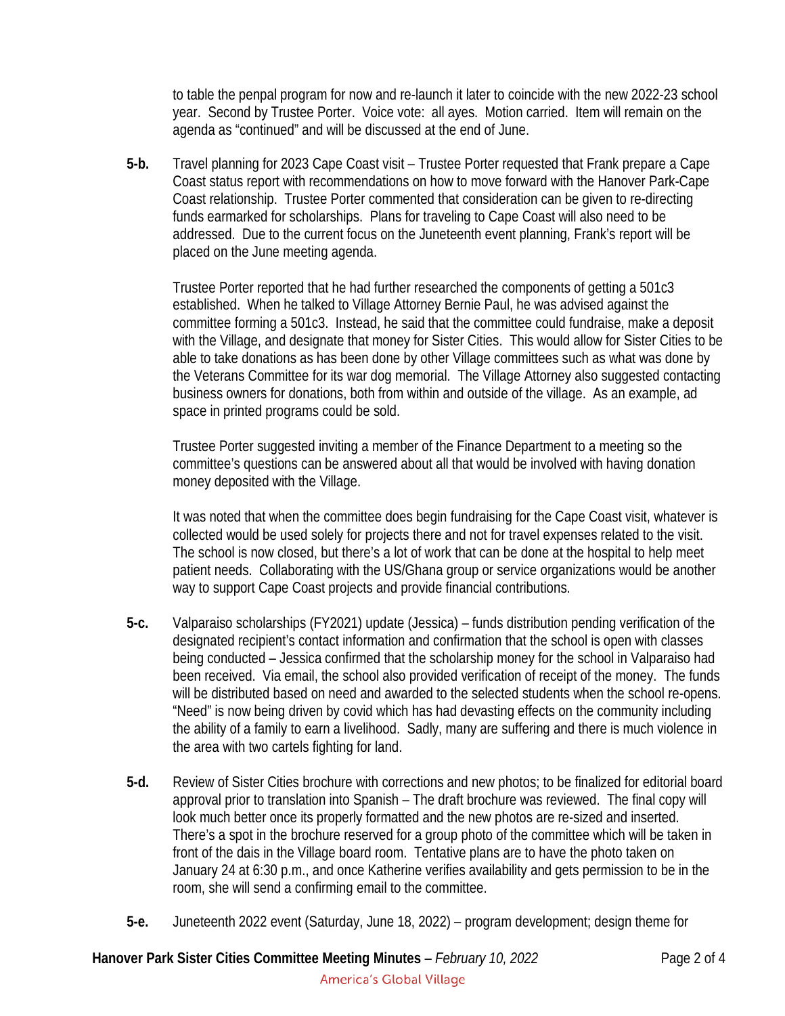to table the penpal program for now and re-launch it later to coincide with the new 2022-23 school year. Second by Trustee Porter. Voice vote: all ayes. Motion carried. Item will remain on the agenda as "continued" and will be discussed at the end of June.

**5-b.** Travel planning for 2023 Cape Coast visit – Trustee Porter requested that Frank prepare a Cape Coast status report with recommendations on how to move forward with the Hanover Park-Cape Coast relationship. Trustee Porter commented that consideration can be given to re-directing funds earmarked for scholarships. Plans for traveling to Cape Coast will also need to be addressed. Due to the current focus on the Juneteenth event planning, Frank's report will be placed on the June meeting agenda.

Trustee Porter reported that he had further researched the components of getting a 501c3 established. When he talked to Village Attorney Bernie Paul, he was advised against the committee forming a 501c3. Instead, he said that the committee could fundraise, make a deposit with the Village, and designate that money for Sister Cities. This would allow for Sister Cities to be able to take donations as has been done by other Village committees such as what was done by the Veterans Committee for its war dog memorial. The Village Attorney also suggested contacting business owners for donations, both from within and outside of the village. As an example, ad space in printed programs could be sold.

Trustee Porter suggested inviting a member of the Finance Department to a meeting so the committee's questions can be answered about all that would be involved with having donation money deposited with the Village.

It was noted that when the committee does begin fundraising for the Cape Coast visit, whatever is collected would be used solely for projects there and not for travel expenses related to the visit. The school is now closed, but there's a lot of work that can be done at the hospital to help meet patient needs. Collaborating with the US/Ghana group or service organizations would be another way to support Cape Coast projects and provide financial contributions.

- **5-c.** Valparaiso scholarships (FY2021) update (Jessica) funds distribution pending verification of the designated recipient's contact information and confirmation that the school is open with classes being conducted – Jessica confirmed that the scholarship money for the school in Valparaiso had been received. Via email, the school also provided verification of receipt of the money. The funds will be distributed based on need and awarded to the selected students when the school re-opens. "Need" is now being driven by covid which has had devasting effects on the community including the ability of a family to earn a livelihood. Sadly, many are suffering and there is much violence in the area with two cartels fighting for land.
- **5-d.** Review of Sister Cities brochure with corrections and new photos; to be finalized for editorial board approval prior to translation into Spanish – The draft brochure was reviewed. The final copy will look much better once its properly formatted and the new photos are re-sized and inserted. There's a spot in the brochure reserved for a group photo of the committee which will be taken in front of the dais in the Village board room. Tentative plans are to have the photo taken on January 24 at 6:30 p.m., and once Katherine verifies availability and gets permission to be in the room, she will send a confirming email to the committee.
- **5-e.** Juneteenth 2022 event (Saturday, June 18, 2022) program development; design theme for

# **Hanover Park Sister Cities Committee Meeting Minutes** – *February 10, 2022* Page 2 of 4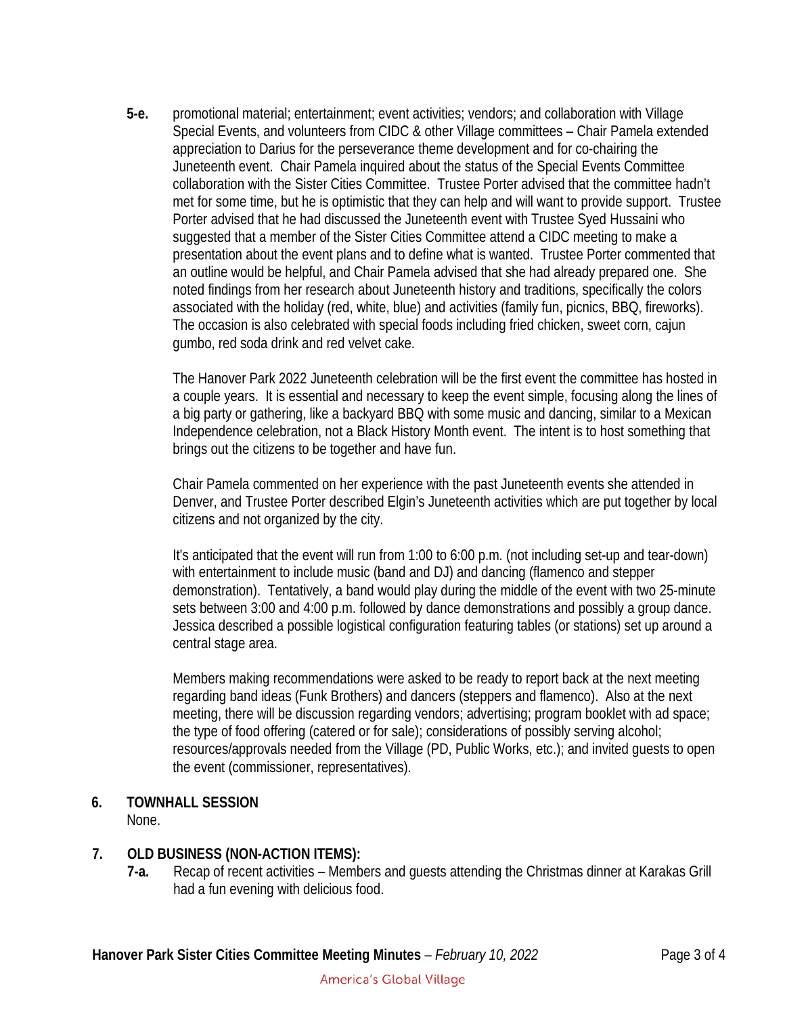**5-e.** promotional material; entertainment; event activities; vendors; and collaboration with Village Special Events, and volunteers from CIDC & other Village committees – Chair Pamela extended appreciation to Darius for the perseverance theme development and for co-chairing the Juneteenth event. Chair Pamela inquired about the status of the Special Events Committee collaboration with the Sister Cities Committee. Trustee Porter advised that the committee hadn't met for some time, but he is optimistic that they can help and will want to provide support. Trustee Porter advised that he had discussed the Juneteenth event with Trustee Syed Hussaini who suggested that a member of the Sister Cities Committee attend a CIDC meeting to make a presentation about the event plans and to define what is wanted. Trustee Porter commented that an outline would be helpful, and Chair Pamela advised that she had already prepared one. She noted findings from her research about Juneteenth history and traditions, specifically the colors associated with the holiday (red, white, blue) and activities (family fun, picnics, BBQ, fireworks). The occasion is also celebrated with special foods including fried chicken, sweet corn, cajun gumbo, red soda drink and red velvet cake.

The Hanover Park 2022 Juneteenth celebration will be the first event the committee has hosted in a couple years. It is essential and necessary to keep the event simple, focusing along the lines of a big party or gathering, like a backyard BBQ with some music and dancing, similar to a Mexican Independence celebration, not a Black History Month event. The intent is to host something that brings out the citizens to be together and have fun.

Chair Pamela commented on her experience with the past Juneteenth events she attended in Denver, and Trustee Porter described Elgin's Juneteenth activities which are put together by local citizens and not organized by the city.

It's anticipated that the event will run from 1:00 to 6:00 p.m. (not including set-up and tear-down) with entertainment to include music (band and DJ) and dancing (flamenco and stepper demonstration). Tentatively, a band would play during the middle of the event with two 25-minute sets between 3:00 and 4:00 p.m. followed by dance demonstrations and possibly a group dance. Jessica described a possible logistical configuration featuring tables (or stations) set up around a central stage area.

Members making recommendations were asked to be ready to report back at the next meeting regarding band ideas (Funk Brothers) and dancers (steppers and flamenco). Also at the next meeting, there will be discussion regarding vendors; advertising; program booklet with ad space; the type of food offering (catered or for sale); considerations of possibly serving alcohol; resources/approvals needed from the Village (PD, Public Works, etc.); and invited guests to open the event (commissioner, representatives).

## **6. TOWNHALL SESSION**

None.

## **7. OLD BUSINESS (NON-ACTION ITEMS):**

**7-a.** Recap of recent activities – Members and guests attending the Christmas dinner at Karakas Grill had a fun evening with delicious food.